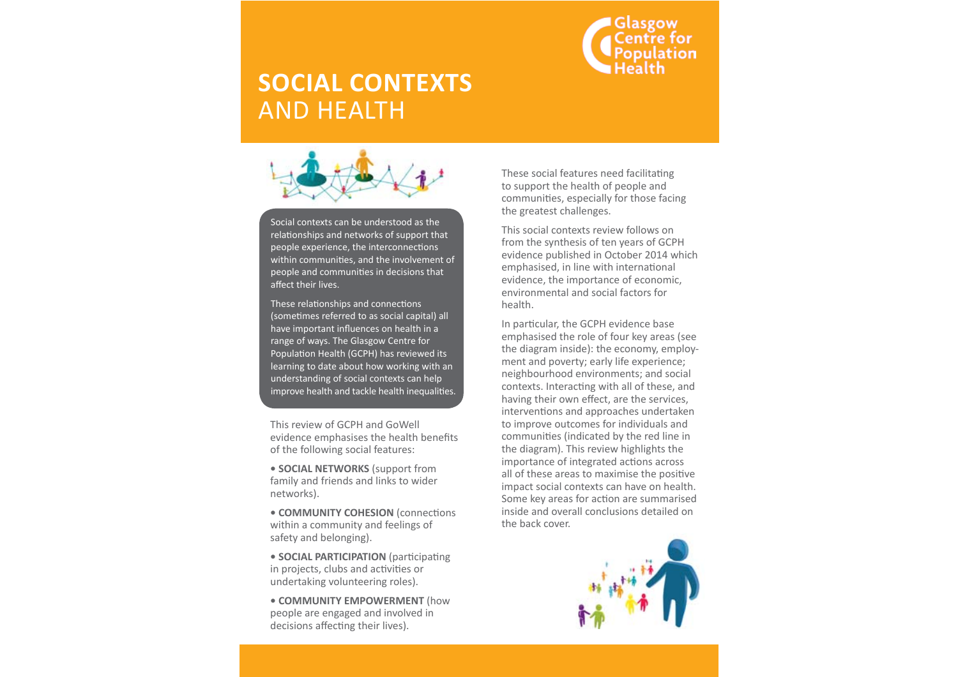

## **SOCIAL CONTEXTS**  AND HEALTH



Social contexts can be understood as the relationships and networks of support that people experience, the interconnections within communities, and the involvement of people and communities in decisions that affect their lives.

These relationships and connections (sometimes referred to as social capital) all have important influences on health in a range of ways. The Glasgow Centre for Population Health (GCPH) has reviewed its learning to date about how working with an understanding of social contexts can help improve health and tackle health inequalities.

This review of GCPH and GoWell evidence emphasises the health benefits of the following social features:

**• SOCIAL NETWORKS** (support from family and friends and links to wider networks).

**• COMMUNITY COHESION** (connections within a community and feelings of safety and belonging).

**• SOCIAL PARTICIPATION** (participating in projects, clubs and activities or undertaking volunteering roles).

**• COMMUNITY EMPOWERMENT** (how people are engaged and involved in decisions affecting their lives).

These social features need facilitating to support the health of people and communities, especially for those facing the greatest challenges.

This social contexts review follows on from the synthesis of ten years of GCPH evidence published in October 2014 which emphasised, in line with international evidence, the importance of economic, environmental and social factors for health.

In particular, the GCPH evidence base emphasised the role of four key areas (see the diagram inside): the economy, employment and poverty; early life experience; neighbourhood environments; and social contexts. Interacting with all of these, and having their own effect, are the services, interventions and approaches undertaken to improve outcomes for individuals and communities (indicated by the red line in the diagram). This review highlights the importance of integrated actions across all of these areas to maximise the positive impact social contexts can have on health. Some key areas for action are summarised inside and overall conclusions detailed on the back cover.

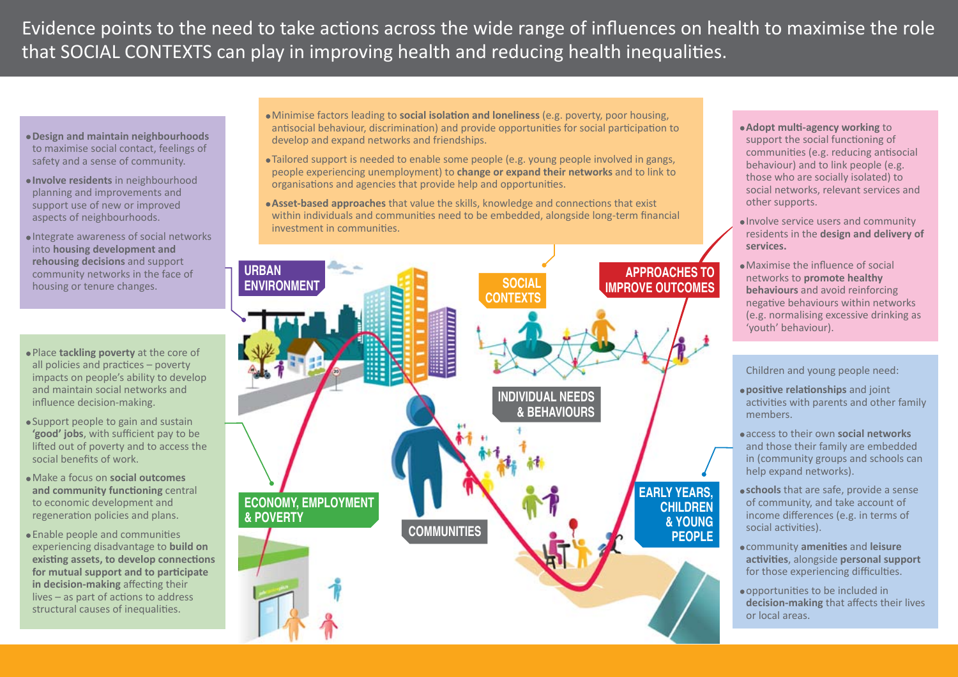Evidence points to the need to take actions across the wide range of influences on health to maximise the role that SOCIAL CONTEXTS can play in improving health and reducing health inequalities.

- **Design and maintain neighbourhoods** to maximise social contact, feelings of safety and a sense of community.
- **Involve residents** in neighbourhood planning and improvements and support use of new or improved aspects of neighbourhoods.
- Integrate awareness of social networks into **housing development and rehousing decisions** and support community networks in the face of housing or tenure changes.
- Place **tackling poverty** at the core of all policies and practices – poverty impacts on people's ability to develop and maintain social networks and influence decision-making.
- Support people to gain and sustain **'good' jobs**, with sufficient pay to be lifted out of poverty and to access the social benefits of work.
- Make a focus on **social outcomes and community functioning** central to economic development and regeneration policies and plans.
- Enable people and communities experiencing disadvantage to **build on existing assets, to develop connections for mutual support and to participate in decision-making** affecting their lives – as part of actions to address structural causes of inequalities.
- Minimise factors leading to **social isolation and loneliness** (e.g. poverty, poor housing, antisocial behaviour, discrimination) and provide opportunities for social participation to develop and expand networks and friendships.
- Tailored support is needed to enable some people (e.g. young people involved in gangs, people experiencing unemployment) to **change or expand their networks** and to link to organisations and agencies that provide help and opportunities.
- **Asset-based approaches** that value the skills, knowledge and connections that exist within individuals and communities need to be embedded, alongside long-term financial investment in communities.



- **Adopt multi-agency working** to support the social functioning of communities (e.g. reducing antisocial behaviour) and to link people (e.g. those who are socially isolated) to social networks, relevant services and other supports.
- Involve service users and community residents in the **design and delivery of services.**
- Maximise the influence of social networks to **promote healthy behaviours** and avoid reinforcing negative behaviours within networks (e.g. normalising excessive drinking as 'youth' behaviour).

Children and young people need:

- **positive relationships** and joint activities with parents and other family members.
- access to their own **social networks** and those their family are embedded in (community groups and schools can help expand networks).
- **schools** that are safe, provide a sense of community, and take account of income differences (e.g. in terms of social activities).
- community **amenities** and **leisure activities**, alongside **personal support** for those experiencing difficulties.
- opportunities to be included in **decision-making** that affects their lives or local areas.